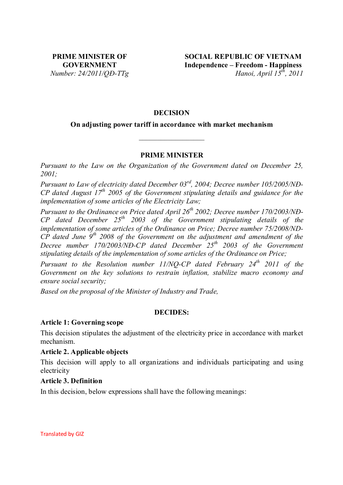## **DECISION**

## **On adjusting power tariff in accordance with market mechanism**

\_\_\_\_\_\_\_\_\_\_\_\_\_\_\_\_\_\_

## **PRIME MINISTER**

*Pursuant to the Law on the Organization of the Government dated on December 25, 2001;* 

*Pursuant to Law of electricity dated December 03rd, 2004; Decree number 105/2005/NĐ-CP dated August 17th 2005 of the Government stipulating details and guidance for the implementation of some articles of the Electricity Law;* 

*Pursuant to the Ordinance on Price dated April 26th 2002; Decree number 170/2003/NĐ-CP dated December 25th 2003 of the Government stipulating details of the implementation of some articles of the Ordinance on Price; Decree number 75/2008/ND-CP dated June 9th 2008 of the Government on the adjustment and amendment of the Decree number 170/2003/NĐ-CP dated December 25th 2003 of the Government stipulating details of the implementation of some articles of the Ordinance on Price;* 

*Pursuant to the Resolution number 11/NQ-CP dated February 24<sup>th</sup> 2011 of the Government on the key solutions to restrain inflation, stabilize macro economy and ensure social security;* 

*Based on the proposal of the Minister of Industry and Trade,* 

## **DECIDES:**

## **Article 1: Governing scope**

This decision stipulates the adjustment of the electricity price in accordance with market mechanism.

## **Article 2. Applicable objects**

This decision will apply to all organizations and individuals participating and using electricity

## **Article 3. Definition**

In this decision, below expressions shall have the following meanings:

Translated by GIZ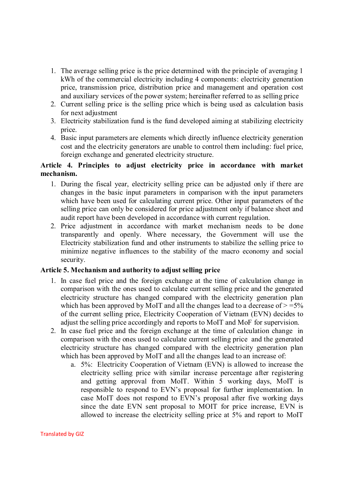- 1. The average selling price is the price determined with the principle of averaging 1 kWh of the commercial electricity including 4 components: electricity generation price, transmission price, distribution price and management and operation cost and auxiliary services of the power system; hereinafter referred to as selling price
- 2. Current selling price is the selling price which is being used as calculation basis for next adjustment
- 3. Electricity stabilization fund is the fund developed aiming at stabilizing electricity price.
- 4. Basic input parameters are elements which directly influence electricity generation cost and the electricity generators are unable to control them including: fuel price, foreign exchange and generated electricity structure.

## **Article 4. Principles to adjust electricity price in accordance with market mechanism.**

- 1. During the fiscal year, electricity selling price can be adjusted only if there are changes in the basic input parameters in comparison with the input parameters which have been used for calculating current price. Other input parameters of the selling price can only be considered for price adjustment only if balance sheet and audit report have been developed in accordance with current regulation.
- 2. Price adjustment in accordance with market mechanism needs to be done transparently and openly. Where necessary, the Government will use the Electricity stabilization fund and other instruments to stabilize the selling price to minimize negative influences to the stability of the macro economy and social security.

# **Article 5. Mechanism and authority to adjust selling price**

- 1. In case fuel price and the foreign exchange at the time of calculation change in comparison with the ones used to calculate current selling price and the generated electricity structure has changed compared with the electricity generation plan which has been approved by MoIT and all the changes lead to a decrease of  $> =5\%$ of the current selling price, Electricity Cooperation of Vietnam (EVN) decides to adjust the selling price accordingly and reports to MoIT and MoF for supervision.
- 2. In case fuel price and the foreign exchange at the time of calculation change in comparison with the ones used to calculate current selling price and the generated electricity structure has changed compared with the electricity generation plan which has been approved by MoIT and all the changes lead to an increase of:
	- a. 5%: Electricity Cooperation of Vietnam (EVN) is allowed to increase the electricity selling price with similar increase percentage after registering and getting approval from MoIT. Within 5 working days, MoIT is responsible to respond to EVN's proposal for further implementation. In case MoIT does not respond to EVN's proposal after five working days since the date EVN sent proposal to MOIT for price increase, EVN is allowed to increase the electricity selling price at 5% and report to MoIT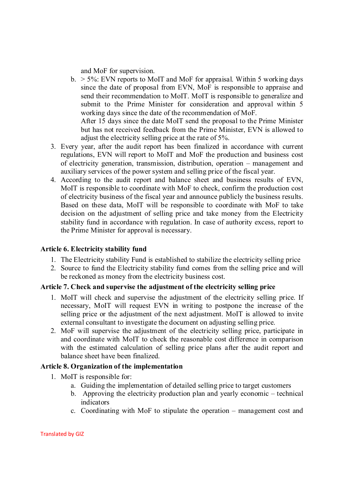and MoF for supervision.

 $b. > 5\%$ : EVN reports to MoIT and MoF for appraisal. Within 5 working days since the date of proposal from EVN, MoF is responsible to appraise and send their recommendation to MoIT. MoIT is responsible to generalize and submit to the Prime Minister for consideration and approval within 5 working days since the date of the recommendation of MoF.

After 15 days since the date MoIT send the proposal to the Prime Minister but has not received feedback from the Prime Minister, EVN is allowed to adjust the electricity selling price at the rate of 5%.

- 3. Every year, after the audit report has been finalized in accordance with current regulations, EVN will report to MoIT and MoF the production and business cost of electricity generation, transmission, distribution, operation – management and auxiliary services of the power system and selling price of the fiscal year.
- 4. According to the audit report and balance sheet and business results of EVN, MoIT is responsible to coordinate with MoF to check, confirm the production cost of electricity business of the fiscal year and announce publicly the business results. Based on these data, MoIT will be responsible to coordinate with MoF to take decision on the adjustment of selling price and take money from the Electricity stability fund in accordance with regulation. In case of authority excess, report to the Prime Minister for approval is necessary.

## **Article 6. Electricity stability fund**

- 1. The Electricity stability Fund is established to stabilize the electricity selling price
- 2. Source to fund the Electricity stability fund comes from the selling price and will be reckoned as money from the electricity business cost.

# **Article 7. Check and supervise the adjustment of the electricity selling price**

- 1. MoIT will check and supervise the adjustment of the electricity selling price. If necessary, MoIT will request EVN in writing to postpone the increase of the selling price or the adjustment of the next adjustment. MoIT is allowed to invite external consultant to investigate the document on adjusting selling price.
- 2. MoF will supervise the adjustment of the electricity selling price, participate in and coordinate with MoIT to check the reasonable cost difference in comparison with the estimated calculation of selling price plans after the audit report and balance sheet have been finalized.

# **Article 8. Organization of the implementation**

- 1. MoIT is responsible for:
	- a. Guiding the implementation of detailed selling price to target customers
	- b. Approving the electricity production plan and yearly economic technical indicators
	- c. Coordinating with MoF to stipulate the operation management cost and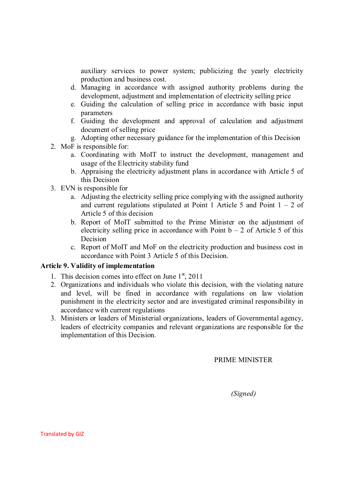auxiliary services to power system; publicizing the yearly electricity production and business cost.

- d. Managing in accordance with assigned authority problems during the development, adjustment and implementation of electricity selling price
- e. Guiding the calculation of selling price in accordance with basic input parameters
- f. Guiding the development and approval of calculation and adjustment document of selling price
- g. Adopting other necessary guidance for the implementation of this Decision
- 2. MoF is responsible for:
	- a. Coordinating with MoIT to instruct the development, management and usage of the Electricity stability fund
	- b. Appraising the electricity adjustment plans in accordance with Article 5 of this Decision
- 3. EVN is responsible for
	- a. Adjusting the electricity selling price complying with the assigned authority and current regulations stipulated at Point 1 Article 5 and Point  $1 - 2$  of Article 5 of this decision
	- b. Report of MoIT submitted to the Prime Minister on the adjustment of electricity selling price in accordance with Point  $b - 2$  of Article 5 of this Decision
	- c. Report of MoIT and MoF on the electricity production and business cost in accordance with Point 3 Article 5 of this Decision.

# **Article 9. Validity of implementation**

- 1. This decision comes into effect on June  $1<sup>st</sup>$ , 2011
- 2. Organizations and individuals who violate this decision, with the violating nature and level, will be fined in accordance with regulations on law violation punishment in the electricity sector and are investigated criminal responsibility in accordance with current regulations
- 3. Ministers or leaders of Ministerial organizations, leaders of Governmental agency, leaders of electricity companies and relevant organizations are responsible for the implementation of this Decision.

# PRIME MINISTER

*(Signed)*